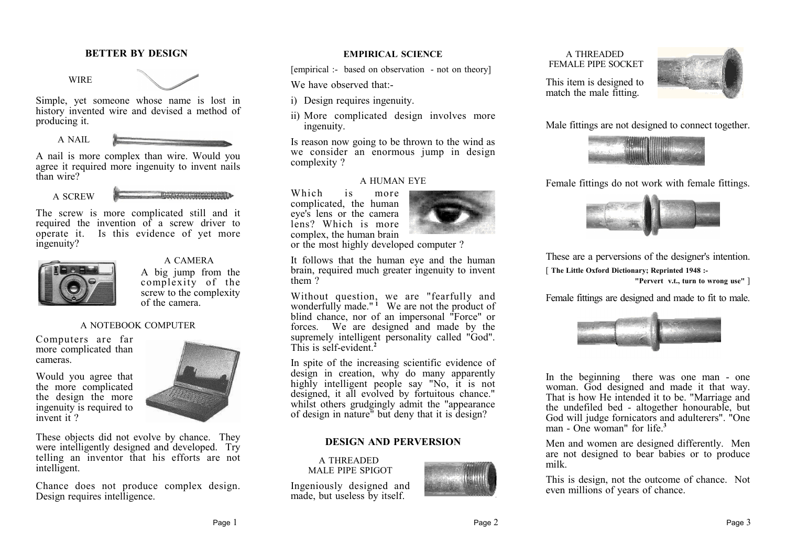# **BETTER BY DESIGN**

#### WIRE



Simple, yet someone whose name is lost in history invented wire and devised a method of producing it.

A NAIL

A nail is more complex than wire. Would you agree it required more ingenuity to invent nails than wire?

A SCREW

The screw is more complicated still and it required the invention of a screw driver to operate it. Is this evidence of yet more ingenuity?



A CAMERA A big jump from the complexity of the screw to the complexity of the camera.

# A NOTEBOOK COMPUTER

Computers are far more complicated than cameras.

Would you agree that the more complicated the design the more ingenuity is required to invent it?



These objects did not evolve by chance. They were intelligently designed and developed. Try telling an inventor that his efforts are not intelligent.

Chance does not produce complex design. Design requires intelligence.

#### **EMPIRICAL SCIENCE**

[empirical :- based on observation - not on theory]

We have observed that:-

- i) Design requires ingenuity
- ii) More complicated design involves more ingenuity.

Is reason now going to be thrown to the wind as we consider an enormous jump in design complexity ?

### A HUMAN EYE

Which is more complicated, the human eye's lens or the camera lens? Which is more complex, the human brain



or the most highly developed computer ?

It follows that the human eye and the human brain, required much greater ingenuity to invent them ?

Without question, we are "fearfully and wonderfully made."<sup>1</sup> We are not the product of blind chance, nor of an impersonal "Force" or forces. We are designed and made by the supremely intelligent personality called "God". This is self-evident<sup>2</sup>

In spite of the increasing scientific evidence of design in creation, why do many apparently highly intelligent people say "No, it is not designed, it all evolved by fortuitous chance." whilst others grudgingly admit the "appearance of design in nature" but deny that it is design?

# **DESIGN AND PERVERSION**

A THREADED MALE PIPE SPIGOT

Ingeniously designed and made, but useless by itself.



## A THREADED FEMALE PIPE SOCKET



This item is designed to match the male fitting.

Male fittings are not designed to connect together.



Female fittings do not work with female fittings.



These are a perversions of the designer's intention. [ **The Little Oxford Dictionary; Reprinted 1948 :-**

**"Pervert v.t., turn to wrong use"** ]

Female fittings are designed and made to fit to male.



In the beginning there was one man - one woman. God designed and made it that way. That is how He intended it to be. "Marriage and the undefiled bed - altogether honourable, but God will judge fornicators and adulterers". "One man - One woman" for life<sup>3</sup>

Men and women are designed differently. Men are not designed to bear babies or to produce milk.

This is design, not the outcome of chance. Not even millions of years of chance.